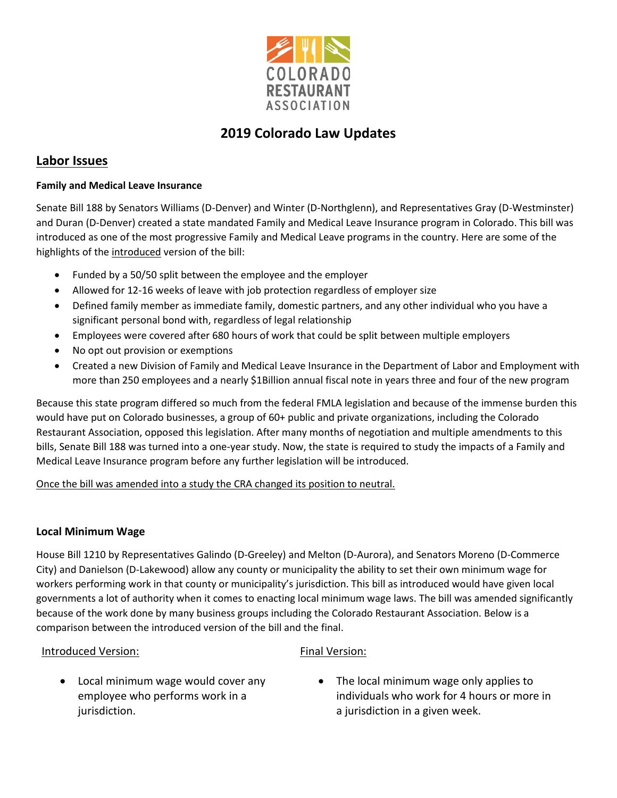

# **2019 Colorado Law Updates**

## **Labor Issues**

### **Family and Medical Leave Insurance**

Senate Bill 188 by Senators Williams (D-Denver) and Winter (D-Northglenn), and Representatives Gray (D-Westminster) and Duran (D-Denver) created a state mandated Family and Medical Leave Insurance program in Colorado. This bill was introduced as one of the most progressive Family and Medical Leave programs in the country. Here are some of the highlights of the introduced version of the bill:

- Funded by a 50/50 split between the employee and the employer
- Allowed for 12-16 weeks of leave with job protection regardless of employer size
- Defined family member as immediate family, domestic partners, and any other individual who you have a significant personal bond with, regardless of legal relationship
- Employees were covered after 680 hours of work that could be split between multiple employers
- No opt out provision or exemptions
- Created a new Division of Family and Medical Leave Insurance in the Department of Labor and Employment with more than 250 employees and a nearly \$1Billion annual fiscal note in years three and four of the new program

Because this state program differed so much from the federal FMLA legislation and because of the immense burden this would have put on Colorado businesses, a group of 60+ public and private organizations, including the Colorado Restaurant Association, opposed this legislation. After many months of negotiation and multiple amendments to this bills, Senate Bill 188 was turned into a one-year study. Now, the state is required to study the impacts of a Family and Medical Leave Insurance program before any further legislation will be introduced.

Once the bill was amended into a study the CRA changed its position to neutral.

### **Local Minimum Wage**

House Bill 1210 by Representatives Galindo (D-Greeley) and Melton (D-Aurora), and Senators Moreno (D-Commerce City) and Danielson (D-Lakewood) allow any county or municipality the ability to set their own minimum wage for workers performing work in that county or municipality's jurisdiction. This bill as introduced would have given local governments a lot of authority when it comes to enacting local minimum wage laws. The bill was amended significantly because of the work done by many business groups including the Colorado Restaurant Association. Below is a comparison between the introduced version of the bill and the final.

### Introduced Version:

### Final Version:

- Local minimum wage would cover any employee who performs work in a jurisdiction.
- The local minimum wage only applies to individuals who work for 4 hours or more in a jurisdiction in a given week.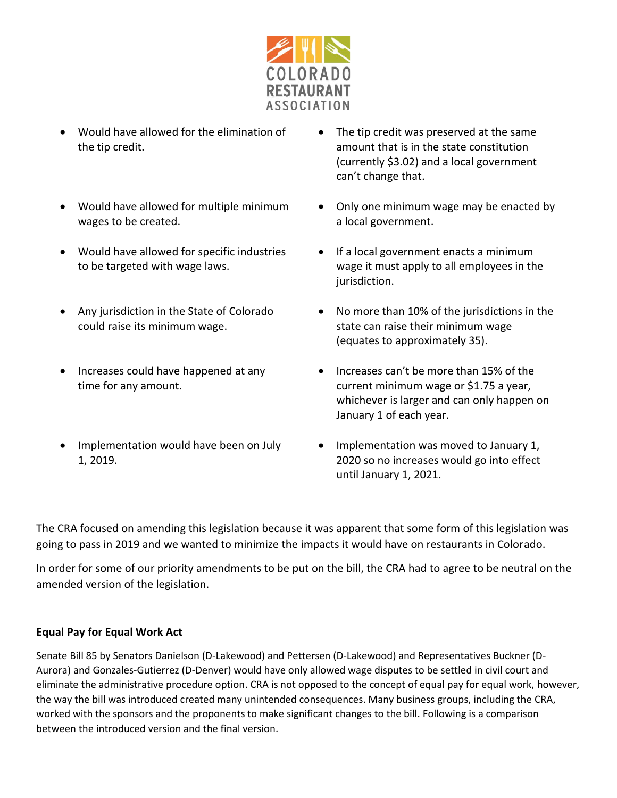

- Would have allowed for the elimination of the tip credit.
- Would have allowed for multiple minimum wages to be created.
- Would have allowed for specific industries to be targeted with wage laws.
- Any jurisdiction in the State of Colorado could raise its minimum wage.
- Increases could have happened at any time for any amount.
- Implementation would have been on July 1, 2019.
- The tip credit was preserved at the same amount that is in the state constitution (currently \$3.02) and a local government can't change that.
- Only one minimum wage may be enacted by a local government.
- If a local government enacts a minimum wage it must apply to all employees in the jurisdiction.
- No more than 10% of the jurisdictions in the state can raise their minimum wage (equates to approximately 35).
- Increases can't be more than 15% of the current minimum wage or \$1.75 a year, whichever is larger and can only happen on January 1 of each year.
- Implementation was moved to January 1, 2020 so no increases would go into effect until January 1, 2021.

The CRA focused on amending this legislation because it was apparent that some form of this legislation was going to pass in 2019 and we wanted to minimize the impacts it would have on restaurants in Colorado.

In order for some of our priority amendments to be put on the bill, the CRA had to agree to be neutral on the amended version of the legislation.

### **Equal Pay for Equal Work Act**

Senate Bill 85 by Senators Danielson (D-Lakewood) and Pettersen (D-Lakewood) and Representatives Buckner (D-Aurora) and Gonzales-Gutierrez (D-Denver) would have only allowed wage disputes to be settled in civil court and eliminate the administrative procedure option. CRA is not opposed to the concept of equal pay for equal work, however, the way the bill was introduced created many unintended consequences. Many business groups, including the CRA, worked with the sponsors and the proponents to make significant changes to the bill. Following is a comparison between the introduced version and the final version.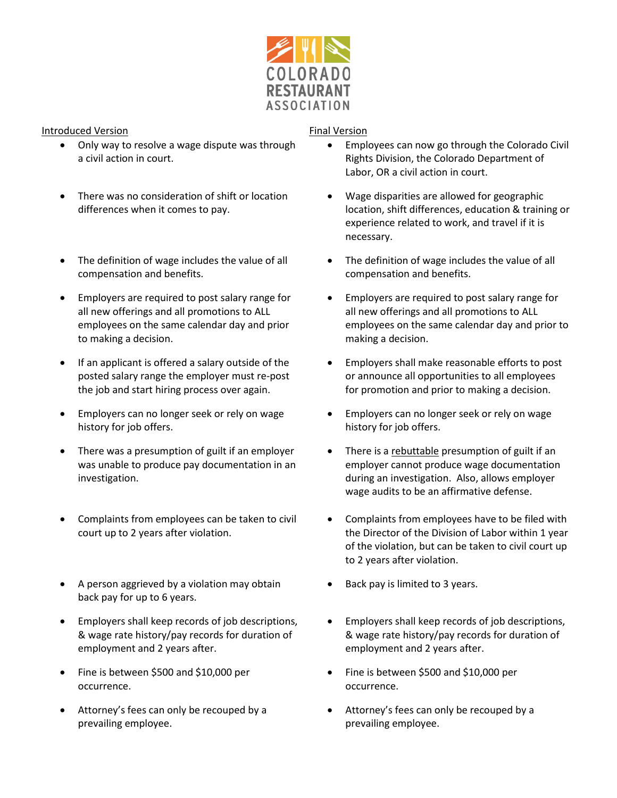

#### Introduced Version

- Only way to resolve a wage dispute was through a civil action in court.
- There was no consideration of shift or location differences when it comes to pay.
- The definition of wage includes the value of all compensation and benefits.
- Employers are required to post salary range for all new offerings and all promotions to ALL employees on the same calendar day and prior to making a decision.
- If an applicant is offered a salary outside of the posted salary range the employer must re-post the job and start hiring process over again.
- Employers can no longer seek or rely on wage history for job offers.
- There was a presumption of guilt if an employer was unable to produce pay documentation in an investigation.
- Complaints from employees can be taken to civil court up to 2 years after violation.
- A person aggrieved by a violation may obtain back pay for up to 6 years.
- Employers shall keep records of job descriptions, & wage rate history/pay records for duration of employment and 2 years after.
- Fine is between \$500 and \$10,000 per occurrence.
- Attorney's fees can only be recouped by a prevailing employee.

#### Final Version

- Employees can now go through the Colorado Civil Rights Division, the Colorado Department of Labor, OR a civil action in court.
- Wage disparities are allowed for geographic location, shift differences, education & training or experience related to work, and travel if it is necessary.
- The definition of wage includes the value of all compensation and benefits.
- Employers are required to post salary range for all new offerings and all promotions to ALL employees on the same calendar day and prior to making a decision.
- Employers shall make reasonable efforts to post or announce all opportunities to all employees for promotion and prior to making a decision.
- Employers can no longer seek or rely on wage history for job offers.
- There is a rebuttable presumption of guilt if an employer cannot produce wage documentation during an investigation. Also, allows employer wage audits to be an affirmative defense.
- Complaints from employees have to be filed with the Director of the Division of Labor within 1 year of the violation, but can be taken to civil court up to 2 years after violation.
- Back pay is limited to 3 years.
- Employers shall keep records of job descriptions, & wage rate history/pay records for duration of employment and 2 years after.
- Fine is between \$500 and \$10,000 per occurrence.
- Attorney's fees can only be recouped by a prevailing employee.